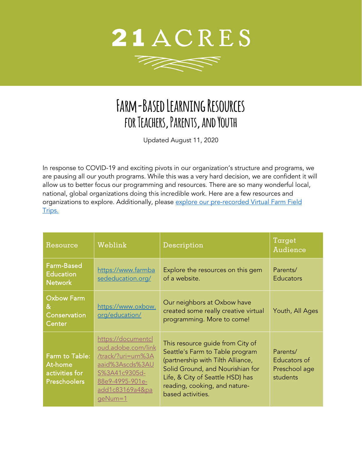

77 R

## **Farm-Based Learning Resources for Teachers, Parents, and Youth**

Updated August 11, 2020

In response to COVID-19 and exciting pivots in our organization's structure and programs, we are pausing all our youth programs. While this was a very hard decision, we are confident it will allow us to better focus our programming and resources. There are so many wonderful local, national, global organizations doing this incredible work. Here are a few resources and organizations to explore. Additionally, please explore our pre-recorded Virtual Farm Field [Trips.](https://21acres.org/classes-events/virtual-learning/virtual-youth-learning/)

| Resource                                                           | Weblink                                                                                                                                             | Description                                                                                                                                                                                                                            | Target<br>Audience                                    |
|--------------------------------------------------------------------|-----------------------------------------------------------------------------------------------------------------------------------------------------|----------------------------------------------------------------------------------------------------------------------------------------------------------------------------------------------------------------------------------------|-------------------------------------------------------|
| <b>Farm-Based</b><br><b>Education</b><br><b>Network</b>            | https://www.farmba<br>sededucation.org/                                                                                                             | Explore the resources on this gem<br>of a website.                                                                                                                                                                                     | Parents/<br><b>Educators</b>                          |
| <b>Oxbow Farm</b><br>&<br>Conservation<br>Center                   | https://www.oxbow.<br>org/education/                                                                                                                | Our neighbors at Oxbow have<br>created some really creative virtual<br>programming. More to come!                                                                                                                                      | Youth, All Ages                                       |
| Farm to Table:<br>At-home<br>activities for<br><b>Preschoolers</b> | https://documentcl<br>oud.adobe.com/link<br>/track/?uri=urn%3A<br>aaid%3Ascds%3AU<br>S%3A41c9305d-<br>88e9-4995-901e-<br>add1c83169a4&pa<br>geNum=1 | This resource guide from City of<br>Seattle's Farm to Table program<br>(partnership with Tilth Alliance,<br>Solid Ground, and Nourishian for<br>Life, & City of Seattle HSD) has<br>reading, cooking, and nature-<br>based activities. | Parents/<br>Educators of<br>Preschool age<br>students |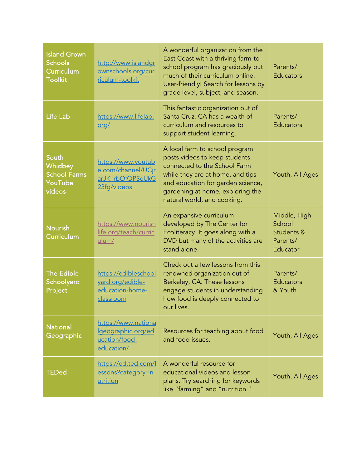| <b>Island Grown</b><br><b>Schools</b><br>Curriculum<br><b>Toolkit</b> | http://www.islandgr<br>ownschools.org/cur<br>riculum-toolkit                | A wonderful organization from the<br>East Coast with a thriving farm-to-<br>school program has graciously put<br>much of their curriculum online.<br>User-friendly! Search for lessons by<br>grade level, subject, and season.              | Parents/<br><b>Educators</b>                                 |
|-----------------------------------------------------------------------|-----------------------------------------------------------------------------|---------------------------------------------------------------------------------------------------------------------------------------------------------------------------------------------------------------------------------------------|--------------------------------------------------------------|
| <b>Life Lab</b>                                                       | https://www.lifelab.<br><u>org/</u>                                         | This fantastic organization out of<br>Santa Cruz, CA has a wealth of<br>curriculum and resources to<br>support student learning.                                                                                                            | Parents/<br><b>Educators</b>                                 |
| South<br>Whidbey<br><b>School Farms</b><br>YouTube<br>videos          | https://www.youtub<br>e.com/channel/UCir<br>arJK rbOfOPSeUkG<br>23fg/videos | A local farm to school program<br>posts videos to keep students<br>connected to the School Farm<br>while they are at home, and tips<br>and education for garden science,<br>gardening at home, exploring the<br>natural world, and cooking. | Youth, All Ages                                              |
| <b>Nourish</b><br>Curriculum                                          | https://www.nourish<br>life.org/teach/curric<br>ulum/                       | An expansive curriculum<br>developed by The Center for<br>Ecoliteracy. It goes along with a<br>DVD but many of the activities are<br>stand alone.                                                                                           | Middle, High<br>School<br>Students &<br>Parents/<br>Educator |
| <b>The Edible</b><br>Schoolyard<br>Project                            | https://edibleschool<br>yard.org/edible-<br>education-home-<br>classroom    | Check out a few lessons from this<br>renowned organization out of<br>Berkeley, CA. These lessons<br>engage students in understanding<br>how food is deeply connected to<br>our lives.                                                       | Parents/<br>Educators<br>& Youth                             |
| <b>National</b><br>Geographic                                         | https://www.nationa<br>Igeographic.org/ed<br>ucation/food-<br>education/    | Resources for teaching about food<br>and food issues.                                                                                                                                                                                       | Youth, All Ages                                              |
| <b>TEDed</b>                                                          | https://ed.ted.com/l<br>essons?category=n<br>utrition                       | A wonderful resource for<br>educational videos and lesson<br>plans. Try searching for keywords<br>like "farming" and "nutrition."                                                                                                           | Youth, All Ages                                              |